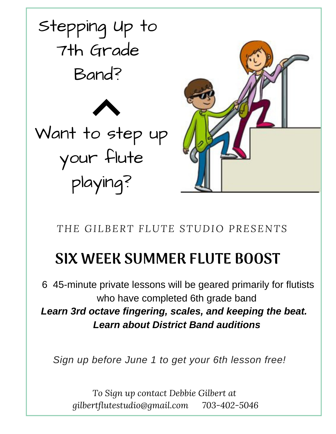

*THE GILBERT FLUTE STUDIO PRESENTS*

# SIX WEEK SUMMER FLUTE BOOST

6 45-minute private lessons will be geared primarily for flutists who have completed 6th grade band *Learn 3rd octave fingering, scales, and keeping the beat. Learn about District Band auditions*

*Sign up before June 1 to get your 6th lesson free!*

*To Sign up contact Debbie Gilbert at gilbertflutestudio@gmail.com 703-402-5046*